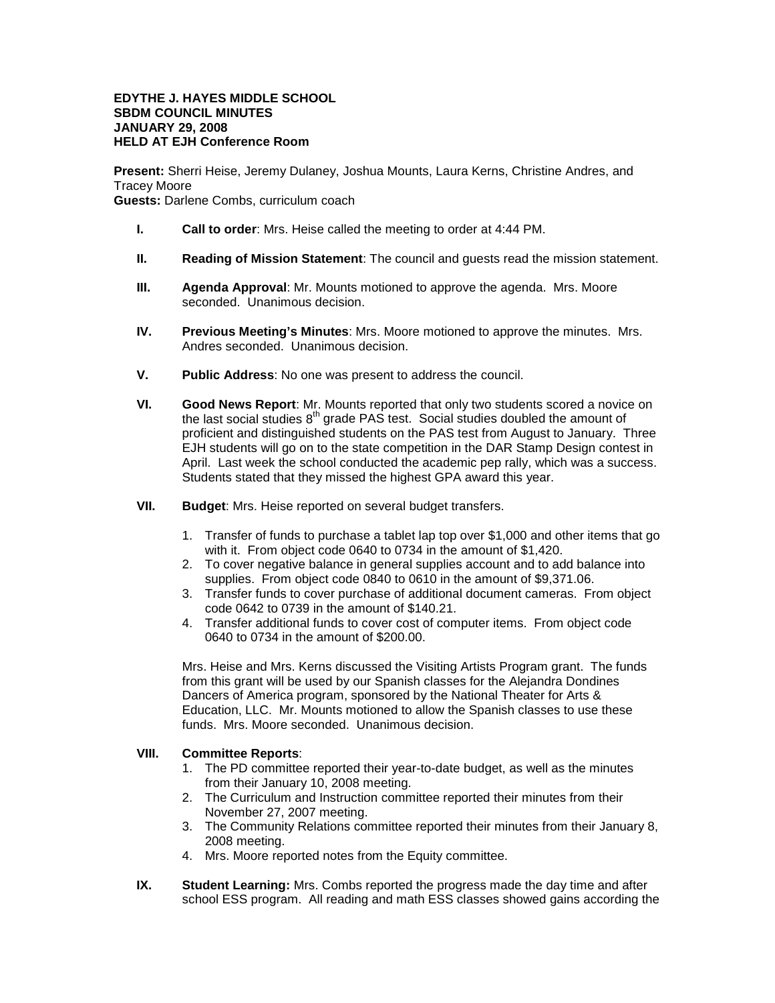## **EDYTHE J. HAYES MIDDLE SCHOOL SBDM COUNCIL MINUTES JANUARY 29, 2008 HELD AT EJH Conference Room**

**Present:** Sherri Heise, Jeremy Dulaney, Joshua Mounts, Laura Kerns, Christine Andres, and Tracey Moore **Guests:** Darlene Combs, curriculum coach

- **I. Call to order**: Mrs. Heise called the meeting to order at 4:44 PM.
- **II. Reading of Mission Statement**: The council and guests read the mission statement.
- **III. Agenda Approval**: Mr. Mounts motioned to approve the agenda. Mrs. Moore seconded. Unanimous decision.
- **IV. Previous Meeting's Minutes**: Mrs. Moore motioned to approve the minutes. Mrs. Andres seconded. Unanimous decision.
- **V. Public Address**: No one was present to address the council.
- **VI. Good News Report**: Mr. Mounts reported that only two students scored a novice on the last social studies  $8<sup>th</sup>$  grade PAS test. Social studies doubled the amount of proficient and distinguished students on the PAS test from August to January. Three EJH students will go on to the state competition in the DAR Stamp Design contest in April. Last week the school conducted the academic pep rally, which was a success. Students stated that they missed the highest GPA award this year.
- **VII. Budget**: Mrs. Heise reported on several budget transfers.
	- 1. Transfer of funds to purchase a tablet lap top over \$1,000 and other items that go with it. From object code 0640 to 0734 in the amount of \$1,420.
	- 2. To cover negative balance in general supplies account and to add balance into supplies. From object code 0840 to 0610 in the amount of \$9,371.06.
	- 3. Transfer funds to cover purchase of additional document cameras. From object code 0642 to 0739 in the amount of \$140.21.
	- 4. Transfer additional funds to cover cost of computer items. From object code 0640 to 0734 in the amount of \$200.00.

Mrs. Heise and Mrs. Kerns discussed the Visiting Artists Program grant. The funds from this grant will be used by our Spanish classes for the Alejandra Dondines Dancers of America program, sponsored by the National Theater for Arts & Education, LLC. Mr. Mounts motioned to allow the Spanish classes to use these funds. Mrs. Moore seconded. Unanimous decision.

## **VIII. Committee Reports**:

- 1. The PD committee reported their year-to-date budget, as well as the minutes from their January 10, 2008 meeting.
- 2. The Curriculum and Instruction committee reported their minutes from their November 27, 2007 meeting.
- 3. The Community Relations committee reported their minutes from their January 8, 2008 meeting.
- 4. Mrs. Moore reported notes from the Equity committee.
- **IX. Student Learning:** Mrs. Combs reported the progress made the day time and after school ESS program. All reading and math ESS classes showed gains according the